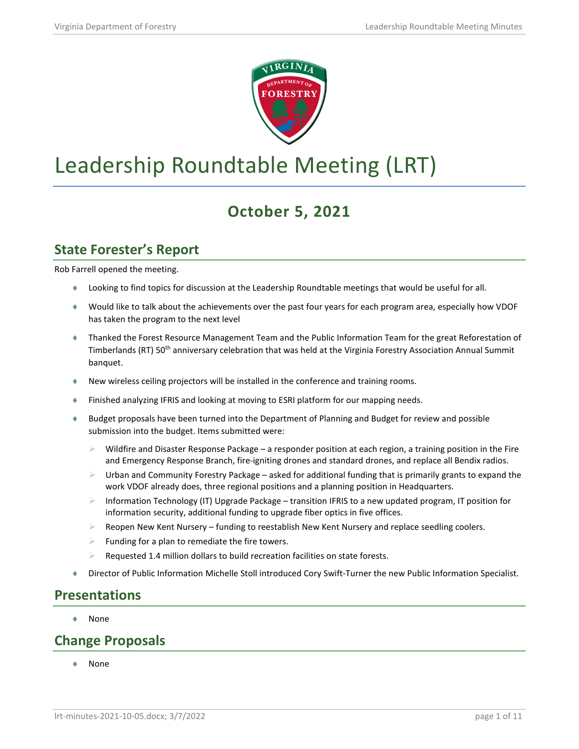

# Leadership Roundtable Meeting (LRT)

# **October 5, 2021**

#### **State Forester's Report**

Rob Farrell opened the meeting.

- ♦ Looking to find topics for discussion at the Leadership Roundtable meetings that would be useful for all.
- ♦ Would like to talk about the achievements over the past four years for each program area, especially how VDOF has taken the program to the next level
- ♦ Thanked the Forest Resource Management Team and the Public Information Team for the great Reforestation of Timberlands (RT) 50th anniversary celebration that was held at the Virginia Forestry Association Annual Summit banquet.
- ♦ New wireless ceiling projectors will be installed in the conference and training rooms.
- ♦ Finished analyzing IFRIS and looking at moving to ESRI platform for our mapping needs.
- ♦ Budget proposals have been turned into the Department of Planning and Budget for review and possible submission into the budget. Items submitted were:
	- Wildfire and Disaster Response Package a responder position at each region, a training position in the Fire and Emergency Response Branch, fire-igniting drones and standard drones, and replace all Bendix radios.
	- Urban and Community Forestry Package asked for additional funding that is primarily grants to expand the work VDOF already does, three regional positions and a planning position in Headquarters.
	- **Information Technology (IT) Upgrade Package transition IFRIS to a new updated program, IT position for** information security, additional funding to upgrade fiber optics in five offices.
	- Reopen New Kent Nursery funding to reestablish New Kent Nursery and replace seedling coolers.
	- Funding for a plan to remediate the fire towers.
	- Requested 1.4 million dollars to build recreation facilities on state forests.
- ♦ Director of Public Information Michelle Stoll introduced Cory Swift-Turner the new Public Information Specialist.

#### **Presentations**

**None** 

#### **Change Proposals**

♦ None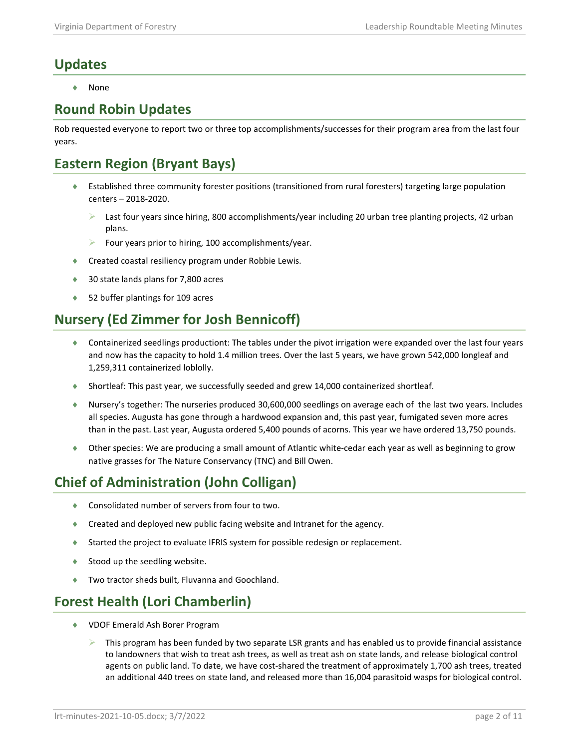## **Updates**

**None** 

#### **Round Robin Updates**

Rob requested everyone to report two or three top accomplishments/successes for their program area from the last four years.

# **Eastern Region (Bryant Bays)**

- ♦ Established three community forester positions (transitioned from rural foresters) targeting large population centers – 2018-2020.
	- Last four years since hiring, 800 accomplishments/year including 20 urban tree planting projects, 42 urban plans.
	- $\triangleright$  Four years prior to hiring, 100 accomplishments/year.
- ♦ Created coastal resiliency program under Robbie Lewis.
- ♦ 30 state lands plans for 7,800 acres
- ♦ 52 buffer plantings for 109 acres

# **Nursery (Ed Zimmer for Josh Bennicoff)**

- ♦ Containerized seedlings productiont: The tables under the pivot irrigation were expanded over the last four years and now has the capacity to hold 1.4 million trees. Over the last 5 years, we have grown 542,000 longleaf and 1,259,311 containerized loblolly.
- ♦ Shortleaf: This past year, we successfully seeded and grew 14,000 containerized shortleaf.
- ♦ Nursery's together: The nurseries produced 30,600,000 seedlings on average each of the last two years. Includes all species. Augusta has gone through a hardwood expansion and, this past year, fumigated seven more acres than in the past. Last year, Augusta ordered 5,400 pounds of acorns. This year we have ordered 13,750 pounds.
- ♦ Other species: We are producing a small amount of Atlantic white-cedar each year as well as beginning to grow native grasses for The Nature Conservancy (TNC) and Bill Owen.

# **Chief of Administration (John Colligan)**

- ♦ Consolidated number of servers from four to two.
- ♦ Created and deployed new public facing website and Intranet for the agency.
- ♦ Started the project to evaluate IFRIS system for possible redesign or replacement.
- ◆ Stood up the seedling website.
- ♦ Two tractor sheds built, Fluvanna and Goochland.

# **Forest Health (Lori Chamberlin)**

- ♦ VDOF Emerald Ash Borer Program
	- This program has been funded by two separate LSR grants and has enabled us to provide financial assistance to landowners that wish to treat ash trees, as well as treat ash on state lands, and release biological control agents on public land. To date, we have cost-shared the treatment of approximately 1,700 ash trees, treated an additional 440 trees on state land, and released more than 16,004 parasitoid wasps for biological control.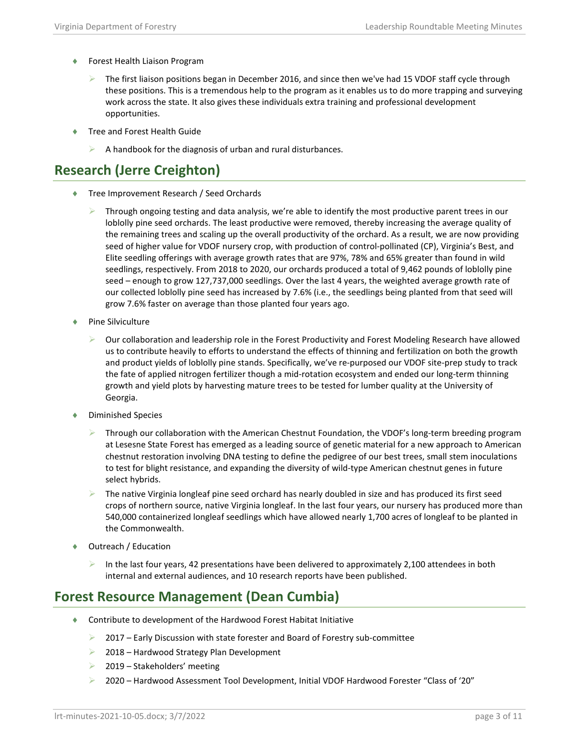- ♦ Forest Health Liaison Program
	- The first liaison positions began in December 2016, and since then we've had 15 VDOF staff cycle through these positions. This is a tremendous help to the program as it enables us to do more trapping and surveying work across the state. It also gives these individuals extra training and professional development opportunities.
- Tree and Forest Health Guide
	- $\triangleright$  A handbook for the diagnosis of urban and rural disturbances.

## **Research (Jerre Creighton)**

- ♦ Tree Improvement Research / Seed Orchards
	- Through ongoing testing and data analysis, we're able to identify the most productive parent trees in our loblolly pine seed orchards. The least productive were removed, thereby increasing the average quality of the remaining trees and scaling up the overall productivity of the orchard. As a result, we are now providing seed of higher value for VDOF nursery crop, with production of control-pollinated (CP), Virginia's Best, and Elite seedling offerings with average growth rates that are 97%, 78% and 65% greater than found in wild seedlings, respectively. From 2018 to 2020, our orchards produced a total of 9,462 pounds of loblolly pine seed – enough to grow 127,737,000 seedlings. Over the last 4 years, the weighted average growth rate of our collected loblolly pine seed has increased by 7.6% (i.e., the seedlings being planted from that seed will grow 7.6% faster on average than those planted four years ago.
- Pine Silviculture
	- $\triangleright$  Our collaboration and leadership role in the Forest Productivity and Forest Modeling Research have allowed us to contribute heavily to efforts to understand the effects of thinning and fertilization on both the growth and product yields of loblolly pine stands. Specifically, we've re-purposed our VDOF site-prep study to track the fate of applied nitrogen fertilizer though a mid-rotation ecosystem and ended our long-term thinning growth and yield plots by harvesting mature trees to be tested for lumber quality at the University of Georgia.
- ♦ Diminished Species
	- Through our collaboration with the American Chestnut Foundation, the VDOF's long-term breeding program at Lesesne State Forest has emerged as a leading source of genetic material for a new approach to American chestnut restoration involving DNA testing to define the pedigree of our best trees, small stem inoculations to test for blight resistance, and expanding the diversity of wild-type American chestnut genes in future select hybrids.
	- The native Virginia longleaf pine seed orchard has nearly doubled in size and has produced its first seed crops of northern source, native Virginia longleaf. In the last four years, our nursery has produced more than 540,000 containerized longleaf seedlings which have allowed nearly 1,700 acres of longleaf to be planted in the Commonwealth.
- ♦ Outreach / Education
	- In the last four years, 42 presentations have been delivered to approximately 2,100 attendees in both internal and external audiences, and 10 research reports have been published.

#### **Forest Resource Management (Dean Cumbia)**

- ♦ Contribute to development of the Hardwood Forest Habitat Initiative
	- 2017 Early Discussion with state forester and Board of Forestry sub-committee
	- $\geq$  2018 Hardwood Strategy Plan Development
	- 2019 Stakeholders' meeting
	- 2020 Hardwood Assessment Tool Development, Initial VDOF Hardwood Forester "Class of '20"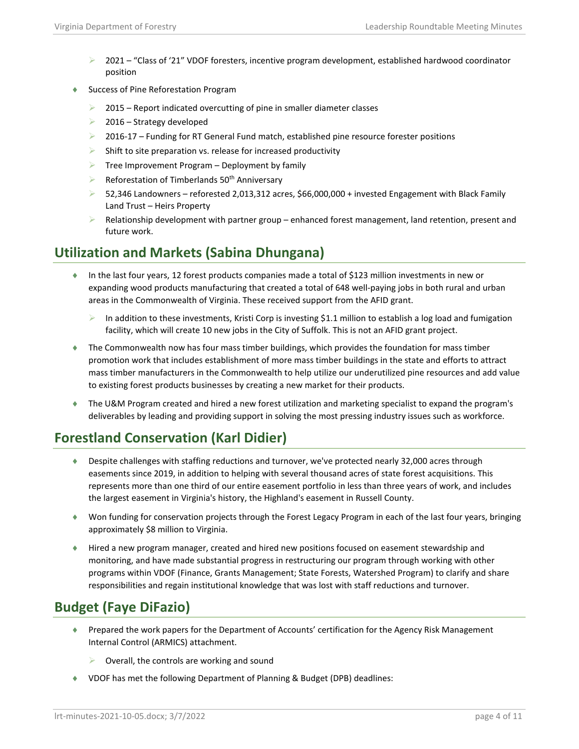- $\geq$  2021 "Class of '21" VDOF foresters, incentive program development, established hardwood coordinator position
- ♦ Success of Pine Reforestation Program
	- 2015 Report indicated overcutting of pine in smaller diameter classes
	- $\geq$  2016 Strategy developed
	- $\geq$  2016-17 Funding for RT General Fund match, established pine resource forester positions
	- $\triangleright$  Shift to site preparation vs. release for increased productivity
	- $\triangleright$  Tree Improvement Program Deployment by family
	- Reforestation of Timberlands 50<sup>th</sup> Anniversary
	- $>$  52,346 Landowners reforested 2,013,312 acres, \$66,000,000 + invested Engagement with Black Family Land Trust – Heirs Property
	- $\triangleright$  Relationship development with partner group enhanced forest management, land retention, present and future work.

## **Utilization and Markets (Sabina Dhungana)**

- ♦ In the last four years, 12 forest products companies made a total of \$123 million investments in new or expanding wood products manufacturing that created a total of 648 well-paying jobs in both rural and urban areas in the Commonwealth of Virginia. These received support from the AFID grant.
	- In addition to these investments, Kristi Corp is investing \$1.1 million to establish a log load and fumigation facility, which will create 10 new jobs in the City of Suffolk. This is not an AFID grant project.
- ♦ The Commonwealth now has four mass timber buildings, which provides the foundation for mass timber promotion work that includes establishment of more mass timber buildings in the state and efforts to attract mass timber manufacturers in the Commonwealth to help utilize our underutilized pine resources and add value to existing forest products businesses by creating a new market for their products.
- ♦ The U&M Program created and hired a new forest utilization and marketing specialist to expand the program's deliverables by leading and providing support in solving the most pressing industry issues such as workforce.

# **Forestland Conservation (Karl Didier)**

- ♦ Despite challenges with staffing reductions and turnover, we've protected nearly 32,000 acres through easements since 2019, in addition to helping with several thousand acres of state forest acquisitions. This represents more than one third of our entire easement portfolio in less than three years of work, and includes the largest easement in Virginia's history, the Highland's easement in Russell County.
- ♦ Won funding for conservation projects through the Forest Legacy Program in each of the last four years, bringing approximately \$8 million to Virginia.
- ♦ Hired a new program manager, created and hired new positions focused on easement stewardship and monitoring, and have made substantial progress in restructuring our program through working with other programs within VDOF (Finance, Grants Management; State Forests, Watershed Program) to clarify and share responsibilities and regain institutional knowledge that was lost with staff reductions and turnover.

## **Budget (Faye DiFazio)**

- ♦ Prepared the work papers for the Department of Accounts' certification for the Agency Risk Management Internal Control (ARMICS) attachment.
	- $\triangleright$  Overall, the controls are working and sound
- ♦ VDOF has met the following Department of Planning & Budget (DPB) deadlines: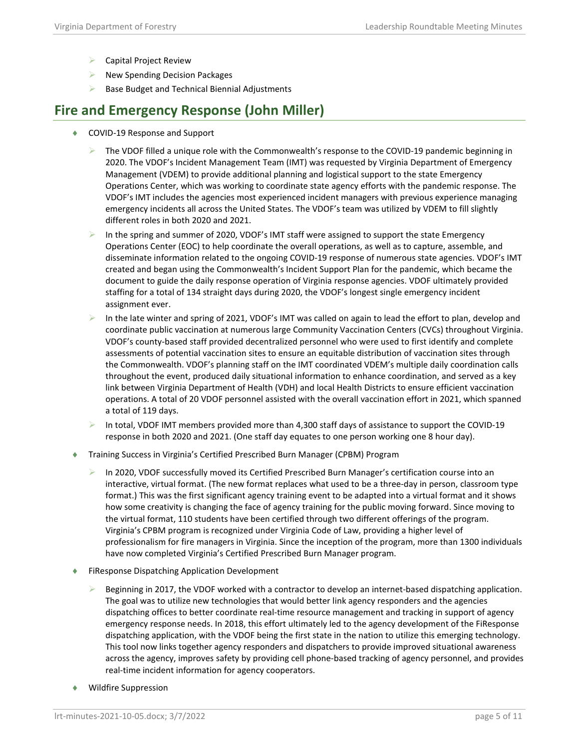- $\triangleright$  Capital Project Review
- $\triangleright$  New Spending Decision Packages
- Base Budget and Technical Biennial Adjustments

#### **Fire and Emergency Response (John Miller)**

- ♦ COVID-19 Response and Support
	- $\triangleright$  The VDOF filled a unique role with the Commonwealth's response to the COVID-19 pandemic beginning in 2020. The VDOF's Incident Management Team (IMT) was requested by Virginia Department of Emergency Management (VDEM) to provide additional planning and logistical support to the state Emergency Operations Center, which was working to coordinate state agency efforts with the pandemic response. The VDOF's IMT includes the agencies most experienced incident managers with previous experience managing emergency incidents all across the United States. The VDOF's team was utilized by VDEM to fill slightly different roles in both 2020 and 2021.
	- In the spring and summer of 2020, VDOF's IMT staff were assigned to support the state Emergency Operations Center (EOC) to help coordinate the overall operations, as well as to capture, assemble, and disseminate information related to the ongoing COVID-19 response of numerous state agencies. VDOF's IMT created and began using the Commonwealth's Incident Support Plan for the pandemic, which became the document to guide the daily response operation of Virginia response agencies. VDOF ultimately provided staffing for a total of 134 straight days during 2020, the VDOF's longest single emergency incident assignment ever.
	- In the late winter and spring of 2021, VDOF's IMT was called on again to lead the effort to plan, develop and coordinate public vaccination at numerous large Community Vaccination Centers (CVCs) throughout Virginia. VDOF's county-based staff provided decentralized personnel who were used to first identify and complete assessments of potential vaccination sites to ensure an equitable distribution of vaccination sites through the Commonwealth. VDOF's planning staff on the IMT coordinated VDEM's multiple daily coordination calls throughout the event, produced daily situational information to enhance coordination, and served as a key link between Virginia Department of Health (VDH) and local Health Districts to ensure efficient vaccination operations. A total of 20 VDOF personnel assisted with the overall vaccination effort in 2021, which spanned a total of 119 days.
	- $\triangleright$  In total, VDOF IMT members provided more than 4,300 staff days of assistance to support the COVID-19 response in both 2020 and 2021. (One staff day equates to one person working one 8 hour day).
- ♦ Training Success in Virginia's Certified Prescribed Burn Manager (CPBM) Program
	- In 2020, VDOF successfully moved its Certified Prescribed Burn Manager's certification course into an interactive, virtual format. (The new format replaces what used to be a three-day in person, classroom type format.) This was the first significant agency training event to be adapted into a virtual format and it shows how some creativity is changing the face of agency training for the public moving forward. Since moving to the virtual format, 110 students have been certified through two different offerings of the program. Virginia's CPBM program is recognized under Virginia Code of Law, providing a higher level of professionalism for fire managers in Virginia. Since the inception of the program, more than 1300 individuals have now completed Virginia's Certified Prescribed Burn Manager program.
- ♦ FiResponse Dispatching Application Development
	- Beginning in 2017, the VDOF worked with a contractor to develop an internet-based dispatching application. The goal was to utilize new technologies that would better link agency responders and the agencies dispatching offices to better coordinate real-time resource management and tracking in support of agency emergency response needs. In 2018, this effort ultimately led to the agency development of the FiResponse dispatching application, with the VDOF being the first state in the nation to utilize this emerging technology. This tool now links together agency responders and dispatchers to provide improved situational awareness across the agency, improves safety by providing cell phone-based tracking of agency personnel, and provides real-time incident information for agency cooperators.
- Wildfire Suppression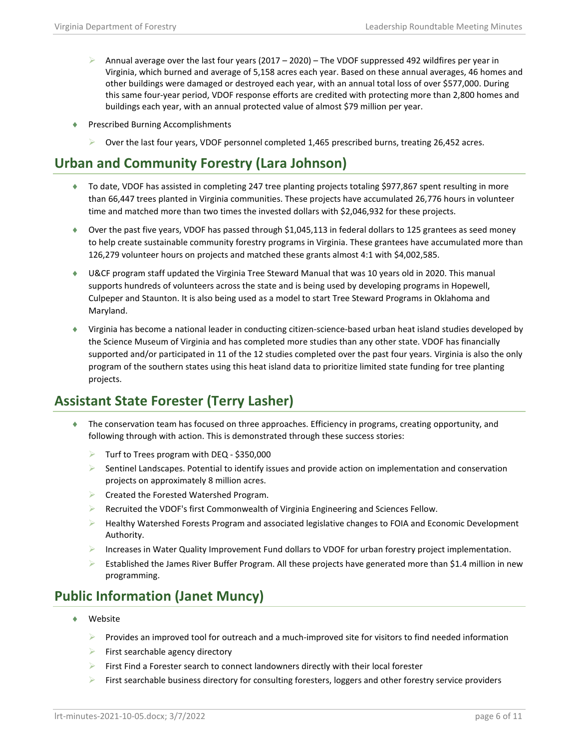- Annual average over the last four years (2017 2020) The VDOF suppressed 492 wildfires per year in Virginia, which burned and average of 5,158 acres each year. Based on these annual averages, 46 homes and other buildings were damaged or destroyed each year, with an annual total loss of over \$577,000. During this same four-year period, VDOF response efforts are credited with protecting more than 2,800 homes and buildings each year, with an annual protected value of almost \$79 million per year.
- ♦ Prescribed Burning Accomplishments
	- $\triangleright$  Over the last four years, VDOF personnel completed 1,465 prescribed burns, treating 26,452 acres.

# **Urban and Community Forestry (Lara Johnson)**

- ♦ To date, VDOF has assisted in completing 247 tree planting projects totaling \$977,867 spent resulting in more than 66,447 trees planted in Virginia communities. These projects have accumulated 26,776 hours in volunteer time and matched more than two times the invested dollars with \$2,046,932 for these projects.
- ♦ Over the past five years, VDOF has passed through \$1,045,113 in federal dollars to 125 grantees as seed money to help create sustainable community forestry programs in Virginia. These grantees have accumulated more than 126,279 volunteer hours on projects and matched these grants almost 4:1 with \$4,002,585.
- ♦ U&CF program staff updated the Virginia Tree Steward Manual that was 10 years old in 2020. This manual supports hundreds of volunteers across the state and is being used by developing programs in Hopewell, Culpeper and Staunton. It is also being used as a model to start Tree Steward Programs in Oklahoma and Maryland.
- ♦ Virginia has become a national leader in conducting citizen-science-based urban heat island studies developed by the Science Museum of Virginia and has completed more studies than any other state. VDOF has financially supported and/or participated in 11 of the 12 studies completed over the past four years. Virginia is also the only program of the southern states using this heat island data to prioritize limited state funding for tree planting projects.

# **Assistant State Forester (Terry Lasher)**

- ♦ The conservation team has focused on three approaches. Efficiency in programs, creating opportunity, and following through with action. This is demonstrated through these success stories:
	- $\triangleright$  Turf to Trees program with DEQ \$350,000
	- $\triangleright$  Sentinel Landscapes. Potential to identify issues and provide action on implementation and conservation projects on approximately 8 million acres.
	- **EXECTED FOR THE FOREST EXECTS** FOR PROPERTY.
	- $\triangleright$  Recruited the VDOF's first Commonwealth of Virginia Engineering and Sciences Fellow.
	- $\blacktriangleright$  Healthy Watershed Forests Program and associated legislative changes to FOIA and Economic Development Authority.
	- Increases in Water Quality Improvement Fund dollars to VDOF for urban forestry project implementation.
	- Established the James River Buffer Program. All these projects have generated more than \$1.4 million in new programming.

# **Public Information (Janet Muncy)**

- Website
	- $\triangleright$  Provides an improved tool for outreach and a much-improved site for visitors to find needed information
	- $\triangleright$  First searchable agency directory
	- $\triangleright$  First Find a Forester search to connect landowners directly with their local forester
	- $\triangleright$  First searchable business directory for consulting foresters, loggers and other forestry service providers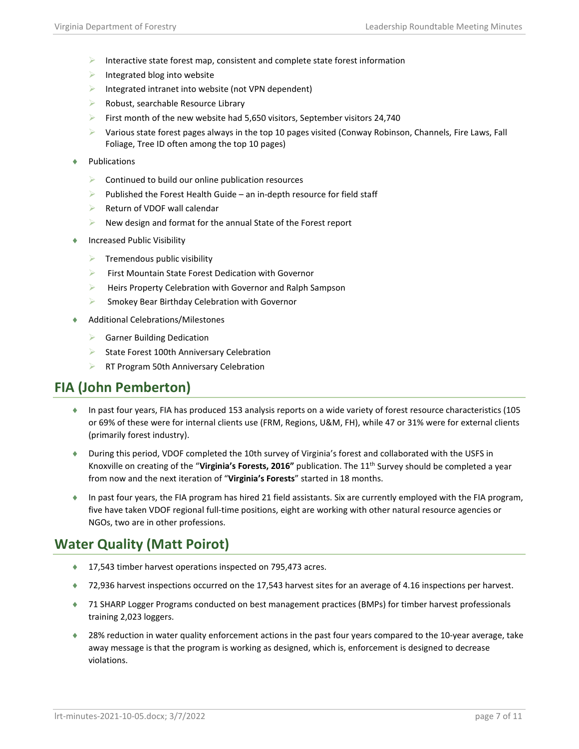- Interactive state forest map, consistent and complete state forest information
- $\triangleright$  Integrated blog into website
- Integrated intranet into website (not VPN dependent)
- $\triangleright$  Robust, searchable Resource Library
- First month of the new website had 5,650 visitors, September visitors 24,740
- Various state forest pages always in the top 10 pages visited (Conway Robinson, Channels, Fire Laws, Fall Foliage, Tree ID often among the top 10 pages)
- ♦ Publications
	- $\triangleright$  Continued to build our online publication resources
	- $\triangleright$  Published the Forest Health Guide an in-depth resource for field staff
	- Return of VDOF wall calendar
	- $\triangleright$  New design and format for the annual State of the Forest report
- Increased Public Visibility
	- $\triangleright$  Tremendous public visibility
	- First Mountain State Forest Dedication with Governor
	- $\blacktriangleright$  Heirs Property Celebration with Governor and Ralph Sampson
	- Smokey Bear Birthday Celebration with Governor
- Additional Celebrations/Milestones
	- Garner Building Dedication
	- $\triangleright$  State Forest 100th Anniversary Celebration
	- RT Program 50th Anniversary Celebration

## **FIA (John Pemberton)**

- ♦ In past four years, FIA has produced 153 analysis reports on a wide variety of forest resource characteristics (105 or 69% of these were for internal clients use (FRM, Regions, U&M, FH), while 47 or 31% were for external clients (primarily forest industry).
- ♦ During this period, VDOF completed the 10th survey of Virginia's forest and collaborated with the USFS in Knoxville on creating of the "**Virginia's Forests, 2016"** publication. The 11th Survey should be completed a year from now and the next iteration of "**Virginia's Forests**" started in 18 months.
- ♦ In past four years, the FIA program has hired 21 field assistants. Six are currently employed with the FIA program, five have taken VDOF regional full-time positions, eight are working with other natural resource agencies or NGOs, two are in other professions.

## **Water Quality (Matt Poirot)**

- ◆ 17,543 timber harvest operations inspected on 795,473 acres.
- ♦ 72,936 harvest inspections occurred on the 17,543 harvest sites for an average of 4.16 inspections per harvest.
- ♦ 71 SHARP Logger Programs conducted on best management practices (BMPs) for timber harvest professionals training 2,023 loggers.
- ♦ 28% reduction in water quality enforcement actions in the past four years compared to the 10-year average, take away message is that the program is working as designed, which is, enforcement is designed to decrease violations.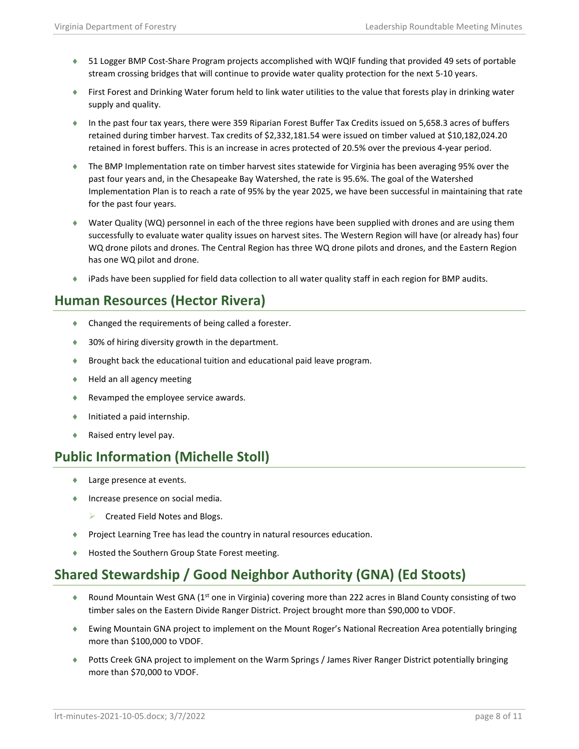- ♦ 51 Logger BMP Cost-Share Program projects accomplished with WQIF funding that provided 49 sets of portable stream crossing bridges that will continue to provide water quality protection for the next 5-10 years.
- ♦ First Forest and Drinking Water forum held to link water utilities to the value that forests play in drinking water supply and quality.
- ♦ In the past four tax years, there were 359 Riparian Forest Buffer Tax Credits issued on 5,658.3 acres of buffers retained during timber harvest. Tax credits of \$2,332,181.54 were issued on timber valued at \$10,182,024.20 retained in forest buffers. This is an increase in acres protected of 20.5% over the previous 4-year period.
- ♦ The BMP Implementation rate on timber harvest sites statewide for Virginia has been averaging 95% over the past four years and, in the Chesapeake Bay Watershed, the rate is 95.6%. The goal of the Watershed Implementation Plan is to reach a rate of 95% by the year 2025, we have been successful in maintaining that rate for the past four years.
- ♦ Water Quality (WQ) personnel in each of the three regions have been supplied with drones and are using them successfully to evaluate water quality issues on harvest sites. The Western Region will have (or already has) four WQ drone pilots and drones. The Central Region has three WQ drone pilots and drones, and the Eastern Region has one WQ pilot and drone.
- ♦ iPads have been supplied for field data collection to all water quality staff in each region for BMP audits.

## **Human Resources (Hector Rivera)**

- ♦ Changed the requirements of being called a forester.
- ♦ 30% of hiring diversity growth in the department.
- ♦ Brought back the educational tuition and educational paid leave program.
- ♦ Held an all agency meeting
- ♦ Revamped the employee service awards.
- ♦ Initiated a paid internship.
- ♦ Raised entry level pay.

## **Public Information (Michelle Stoll)**

- ♦ Large presence at events.
- ♦ Increase presence on social media.
	- Created Field Notes and Blogs.
- ♦ Project Learning Tree has lead the country in natural resources education.
- ♦ Hosted the Southern Group State Forest meeting.

# **Shared Stewardship / Good Neighbor Authority (GNA) (Ed Stoots)**

- ♦ Round Mountain West GNA (1<sup>st</sup> one in Virginia) covering more than 222 acres in Bland County consisting of two timber sales on the Eastern Divide Ranger District. Project brought more than \$90,000 to VDOF.
- ♦ Ewing Mountain GNA project to implement on the Mount Roger's National Recreation Area potentially bringing more than \$100,000 to VDOF.
- ♦ Potts Creek GNA project to implement on the Warm Springs / James River Ranger District potentially bringing more than \$70,000 to VDOF.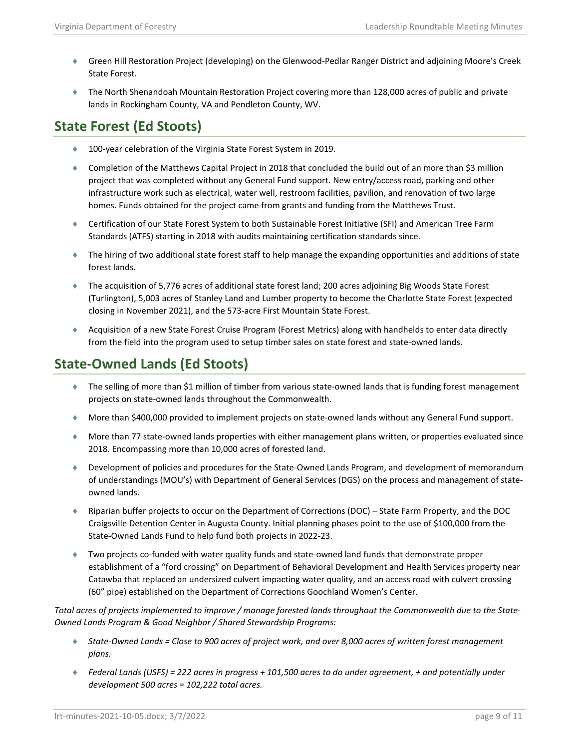- ♦ Green Hill Restoration Project (developing) on the Glenwood-Pedlar Ranger District and adjoining Moore's Creek State Forest.
- ♦ The North Shenandoah Mountain Restoration Project covering more than 128,000 acres of public and private lands in Rockingham County, VA and Pendleton County, WV.

#### **State Forest (Ed Stoots)**

- ♦ 100-year celebration of the Virginia State Forest System in 2019.
- ♦ Completion of the Matthews Capital Project in 2018 that concluded the build out of an more than \$3 million project that was completed without any General Fund support. New entry/access road, parking and other infrastructure work such as electrical, water well, restroom facilities, pavilion, and renovation of two large homes. Funds obtained for the project came from grants and funding from the Matthews Trust.
- ♦ Certification of our State Forest System to both Sustainable Forest Initiative (SFI) and American Tree Farm Standards (ATFS) starting in 2018 with audits maintaining certification standards since.
- ♦ The hiring of two additional state forest staff to help manage the expanding opportunities and additions of state forest lands.
- ♦ The acquisition of 5,776 acres of additional state forest land; 200 acres adjoining Big Woods State Forest (Turlington), 5,003 acres of Stanley Land and Lumber property to become the Charlotte State Forest (expected closing in November 2021), and the 573-acre First Mountain State Forest.
- ♦ Acquisition of a new State Forest Cruise Program (Forest Metrics) along with handhelds to enter data directly from the field into the program used to setup timber sales on state forest and state-owned lands.

## **State-Owned Lands (Ed Stoots)**

- ♦ The selling of more than \$1 million of timber from various state-owned lands that is funding forest management projects on state-owned lands throughout the Commonwealth.
- ♦ More than \$400,000 provided to implement projects on state-owned lands without any General Fund support.
- ♦ More than 77 state-owned lands properties with either management plans written, or properties evaluated since 2018. Encompassing more than 10,000 acres of forested land.
- ♦ Development of policies and procedures for the State-Owned Lands Program, and development of memorandum of understandings (MOU's) with Department of General Services (DGS) on the process and management of stateowned lands.
- ♦ Riparian buffer projects to occur on the Department of Corrections (DOC) State Farm Property, and the DOC Craigsville Detention Center in Augusta County. Initial planning phases point to the use of \$100,000 from the State-Owned Lands Fund to help fund both projects in 2022-23.
- ♦ Two projects co-funded with water quality funds and state-owned land funds that demonstrate proper establishment of a "ford crossing" on Department of Behavioral Development and Health Services property near Catawba that replaced an undersized culvert impacting water quality, and an access road with culvert crossing (60" pipe) established on the Department of Corrections Goochland Women's Center.

*Total acres of projects implemented to improve / manage forested lands throughout the Commonwealth due to the State-Owned Lands Program & Good Neighbor / Shared Stewardship Programs:* 

- ♦ *State-Owned Lands = Close to 900 acres of project work, and over 8,000 acres of written forest management plans.*
- ♦ *Federal Lands (USFS) = 222 acres in progress + 101,500 acres to do under agreement, + and potentially under development 500 acres = 102,222 total acres.*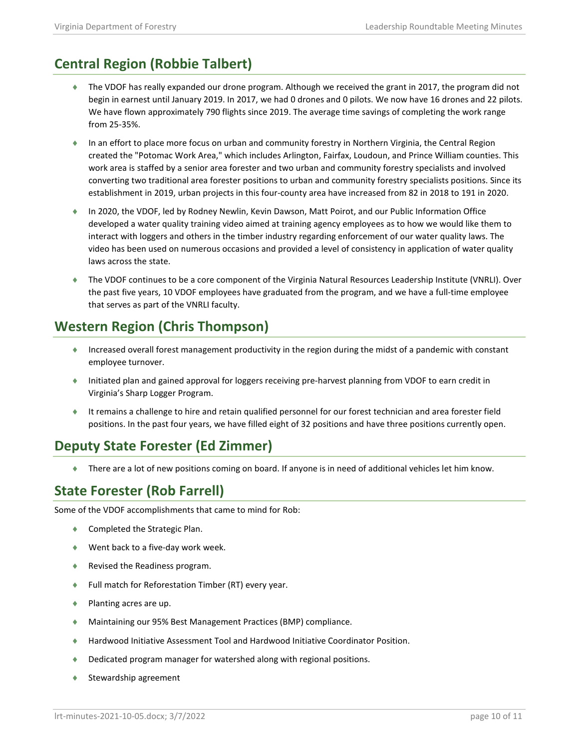# **Central Region (Robbie Talbert)**

- ♦ The VDOF has really expanded our drone program. Although we received the grant in 2017, the program did not begin in earnest until January 2019. In 2017, we had 0 drones and 0 pilots. We now have 16 drones and 22 pilots. We have flown approximately 790 flights since 2019. The average time savings of completing the work range from 25-35%.
- ♦ In an effort to place more focus on urban and community forestry in Northern Virginia, the Central Region created the "Potomac Work Area," which includes Arlington, Fairfax, Loudoun, and Prince William counties. This work area is staffed by a senior area forester and two urban and community forestry specialists and involved converting two traditional area forester positions to urban and community forestry specialists positions. Since its establishment in 2019, urban projects in this four-county area have increased from 82 in 2018 to 191 in 2020.
- ♦ In 2020, the VDOF, led by Rodney Newlin, Kevin Dawson, Matt Poirot, and our Public Information Office developed a water quality training video aimed at training agency employees as to how we would like them to interact with loggers and others in the timber industry regarding enforcement of our water quality laws. The video has been used on numerous occasions and provided a level of consistency in application of water quality laws across the state.
- ♦ The VDOF continues to be a core component of the Virginia Natural Resources Leadership Institute (VNRLI). Over the past five years, 10 VDOF employees have graduated from the program, and we have a full-time employee that serves as part of the VNRLI faculty.

## **Western Region (Chris Thompson)**

- ♦ Increased overall forest management productivity in the region during the midst of a pandemic with constant employee turnover.
- ♦ Initiated plan and gained approval for loggers receiving pre-harvest planning from VDOF to earn credit in Virginia's Sharp Logger Program.
- ♦ It remains a challenge to hire and retain qualified personnel for our forest technician and area forester field positions. In the past four years, we have filled eight of 32 positions and have three positions currently open.

# **Deputy State Forester (Ed Zimmer)**

♦ There are a lot of new positions coming on board. If anyone is in need of additional vehicles let him know.

## **State Forester (Rob Farrell)**

Some of the VDOF accomplishments that came to mind for Rob:

- ♦ Completed the Strategic Plan.
- ♦ Went back to a five-day work week.
- ♦ Revised the Readiness program.
- ♦ Full match for Reforestation Timber (RT) every year.
- ♦ Planting acres are up.
- ♦ Maintaining our 95% Best Management Practices (BMP) compliance.
- ♦ Hardwood Initiative Assessment Tool and Hardwood Initiative Coordinator Position.
- ♦ Dedicated program manager for watershed along with regional positions.
- Stewardship agreement